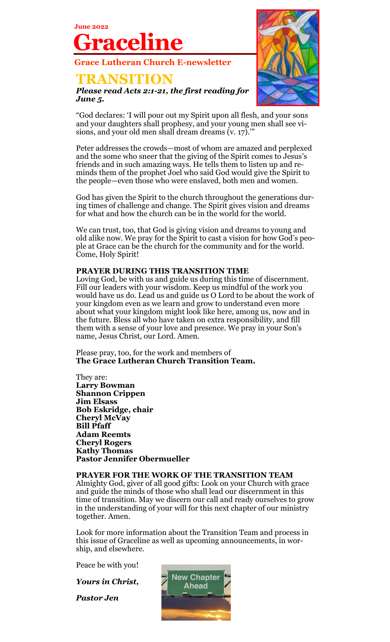**Grace Lutheran Church E-newsletter**

### **TRANSITION**

**June 2022**

**Graceline**

*Please read Acts 2:1-21, the first reading for June 5.*



"God declares: 'I will pour out my Spirit upon all flesh, and your sons and your daughters shall prophesy, and your young men shall see visions, and your old men shall dream dreams  $(v. 17)$ ."

Peter addresses the crowds—most of whom are amazed and perplexed and the some who sneer that the giving of the Spirit comes to Jesus's friends and in such amazing ways. He tells them to listen up and reminds them of the prophet Joel who said God would give the Spirit to the people—even those who were enslaved, both men and women.

God has given the Spirit to the church throughout the generations during times of challenge and change. The Spirit gives vision and dreams for what and how the church can be in the world for the world.

We can trust, too, that God is giving vision and dreams to young and old alike now. We pray for the Spirit to cast a vision for how God's people at Grace can be the church for the community and for the world. Come, Holy Spirit!

#### **PRAYER DURING THIS TRANSITION TIME**

Loving God, be with us and guide us during this time of discernment. Fill our leaders with your wisdom. Keep us mindful of the work you would have us do. Lead us and guide us O Lord to be about the work of your kingdom even as we learn and grow to understand even more about what your kingdom might look like here, among us, now and in the future. Bless all who have taken on extra responsibility, and fill them with a sense of your love and presence. We pray in your Son's name, Jesus Christ, our Lord. Amen.

Please pray, too, for the work and members of **The Grace Lutheran Church Transition Team.** 

They are: **Larry Bowman Shannon Crippen Jim Elsass Bob Eskridge, chair Cheryl McVay Bill Pfaff Adam Reemts Cheryl Rogers Kathy Thomas Pastor Jennifer Obermueller**

#### **PRAYER FOR THE WORK OF THE TRANSITION TEAM**

Almighty God, giver of all good gifts: Look on your Church with grace and guide the minds of those who shall lead our discernment in this time of transition. May we discern our call and ready ourselves to grow in the understanding of your will for this next chapter of our ministry together. Amen.

Look for more information about the Transition Team and process in this issue of Graceline as well as upcoming announcements, in worship, and elsewhere.

Peace be with you!

*Yours in Christ,* 

*Pastor Jen*

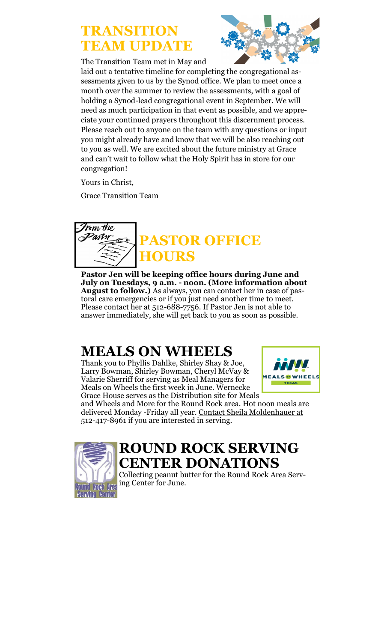## **TRANSITION TEAM UPDATE**

The Transition Team met in May and



laid out a tentative timeline for completing the congregational assessments given to us by the Synod office. We plan to meet once a month over the summer to review the assessments, with a goal of holding a Synod-lead congregational event in September. We will need as much participation in that event as possible, and we appreciate your continued prayers throughout this discernment process. Please reach out to anyone on the team with any questions or input you might already have and know that we will be also reaching out to you as well. We are excited about the future ministry at Grace and can't wait to follow what the Holy Spirit has in store for our congregation!

Yours in Christ,

Grace Transition Team



**Pastor Jen will be keeping office hours during June and July on Tuesdays, 9 a.m. - noon. (More information about August to follow.)** As always, you can contact her in case of pastoral care emergencies or if you just need another time to meet. Please contact her at 512-688-7756. If Pastor Jen is not able to answer immediately, she will get back to you as soon as possible.

## **MEALS ON WHEELS**

Thank you to Phyllis Dahlke, Shirley Shay & Joe, Larry Bowman, Shirley Bowman, Cheryl McVay & Valarie Sherriff for serving as Meal Managers for Meals on Wheels the first week in June. Wernecke Grace House serves as the Distribution site for Meals



and Wheels and More for the Round Rock area. Hot noon meals are delivered Monday -Friday all year. Contact Sheila Moldenhauer at 512-417-8961 if you are interested in serving.



### **ROUND ROCK SERVING CENTER DONATIONS**

Collecting peanut butter for the Round Rock Area Serving Center for June.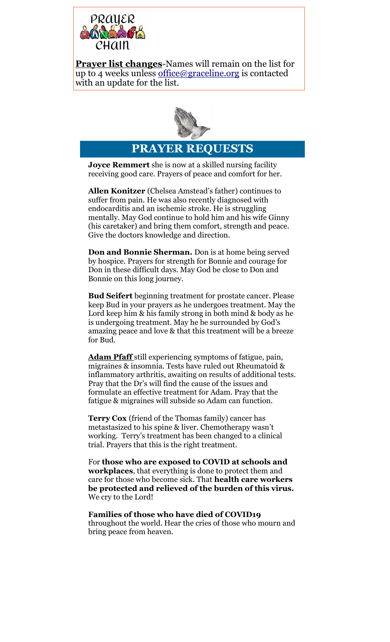

**Prayer list changes**-Names will remain on the list for up to 4 weeks unless [office](mailto:office@graceline.org)[@graceline.org](mailto:kariw@graceline.org) is contacted with an update for the list.



**PRAYER REQUESTS**

**Joyce Remmert** she is now at a skilled nursing facility receiving good care. Prayers of peace and comfort for her.

**Allen Konitzer** (Chelsea Amstead's father) continues to suffer from pain. He was also recently diagnosed with endocarditis and an ischemic stroke. He is struggling mentally. May God continue to hold him and his wife Ginny (his caretaker) and bring them comfort, strength and peace. Give the doctors knowledge and direction.

**Don and Bonnie Sherman.** Don is at home being served by hospice. Prayers for strength for Bonnie and courage for Don in these difficult days. May God be close to Don and Bonnie on this long journey.

**Bud Seifert** beginning treatment for prostate cancer. Please keep Bud in your prayers as he undergoes treatment. May the Lord keep him & his family strong in both mind & body as he is undergoing treatment. May he be surrounded by God's amazing peace and love & that this treatment will be a breeze for Bud.

**Adam Pfaff** still experiencing symptoms of fatigue, pain, migraines & insomnia. Tests have ruled out Rheumatoid & inflammatory arthritis, awaiting on results of additional tests. Pray that the Dr's will find the cause of the issues and formulate an effective treatment for Adam. Pray that the fatigue & migraines will subside so Adam can function.

**Terry Cox** (friend of the Thomas family) cancer has metastasized to his spine & liver. Chemotherapy wasn't working. Terry's treatment has been changed to a clinical trial. Prayers that this is the right treatment.

For **those who are exposed to COVID at schools and workplaces**, that everything is done to protect them and care for those who become sick. That **health care workers be protected and relieved of the burden of this virus.** We cry to the Lord!

### **Families of those who have died of COVID19**  throughout the world. Hear the cries of those who mourn and

bring peace from heaven.